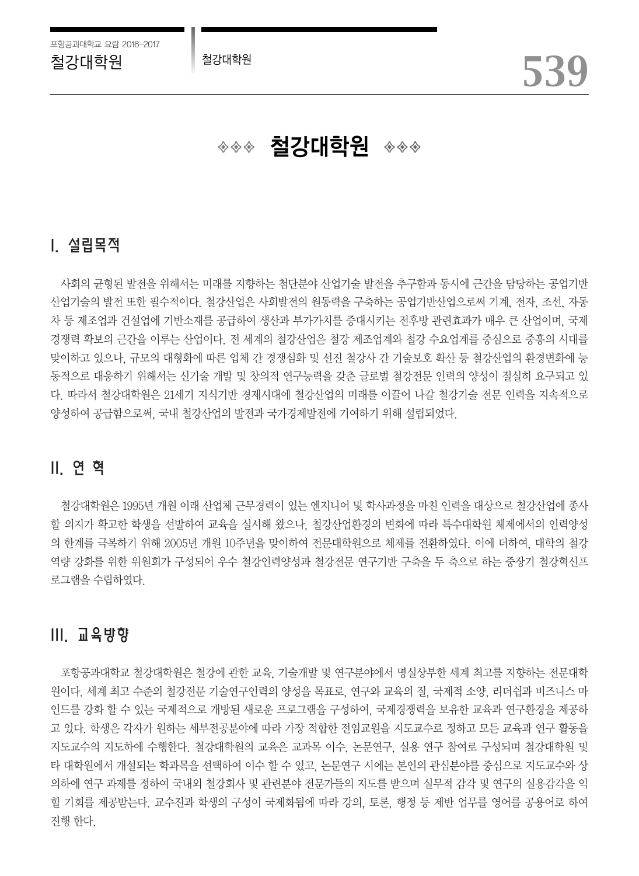◈◈◈ **철강대학원 ◈◈◈** 

# I. 설립목적

사회의 균형된 발전을 위해서는 미래를 지향하는 첨단분야 산업기술 발전을 추구함과 동시에 근간을 담당하는 공업기반 산업기술의 발전 또한 필수적이다. 철강산업은 사회발전의 원동력을 구축하는 공업기반산업으로써 기계, 전자, 조선, 자동 차 등 제조업과 건설업에 기반소재를 공급하여 생산과 부가가치를 증대시키는 전후방 관련효과가 매우 큰 산업이며, 국제 경쟁력 확보의 근간을 이루는 산업이다. 전 세계의 철강산업은 철강 제조업계와 철강 수요업계를 중심으로 중흥의 시대를 맞이하고 있으나, 규모의 대형화에 따른 업체 간 경쟁심화 및 선진 철강사 간 기술보호 확산 등 철강산업의 환경변화에 능 동적으로 대응하기 위해서는 신기술 개발 및 창의적 연구능력을 갖춘 글로벌 철강전문 인력의 양성이 절실히 요구되고 있 다. 따라서 철강대학원은 21세기 지식기반 경제시대에 철강산업의 미래를 이끌어 나갈 철강기술 전문 인력을 지속적으로 양성하여 공급함으로써, 국내 철강산업의 발전과 국가경제발전에 기여하기 위해 설립되었다.

# II. 연 혁

철강대학원은 1995년 개원 이래 산업체 근무경력이 있는 엔지니어 및 학사과정을 마친 인력을 대상으로 철강산업에 종사 할 의지가 확고한 학생을 선발하여 교육을 실시해 왔으나, 철강산업환경의 변화에 따라 특수대학원 체제에서의 인력양성 의 한계를 극복하기 위해 2005년 개원 10주년을 맞이하여 전문대학원으로 체제를 전환하였다. 이에 더하여, 대학의 철강 역량 강화를 위한 위원회가 구성되어 우수 철강인력양성과 철강전문 연구기반 구축을 두 축으로 하는 중장기 철강혁신프 로그램을 수립하였다.

# III. 교육방향

포항공과대학교 철강대학원은 철강에 관한 교육, 기술개발 및 연구분야에서 명실상부한 세계 최고를 지향하는 전문대학 원이다. 세계 최고 수준의 철강전문 기술연구인력의 양성을 목표로, 연구와 교육의 질, 국제적 소양, 리더쉽과 비즈니스 마 인드를 강화 할 수 있는 국제적으로 개방된 새로운 프로그램을 구성하여, 국제경쟁력을 보유한 교육과 연구환경을 제공하 고 있다. 학생은 각자가 원하는 세부전공분야에 따라 가장 적합한 전임교원을 지도교수로 정하고 모든 교육과 연구 활동을 지도교수의 지도하에 수행한다. 철강대학원의 교육은 교과목 이수, 논문연구, 실용 연구 참여로 구성되며 철강대학원 및 타 대학원에서 개설되는 학과목을 선택하여 이수 할 수 있고, 논문연구 시에는 본인의 관심분야를 중심으로 지도교수와 상 의하에 연구 과제를 정하여 국내외 철강회사 및 관련분야 전문가들의 지도를 받으며 실무적 감각 및 연구의 실용감각을 익 힐 기회를 제공받는다. 교수진과 학생의 구성이 국제화됨에 따라 강의, 토론, 행정 등 제반 업무를 영어를 공용어로 하여 진행 한다.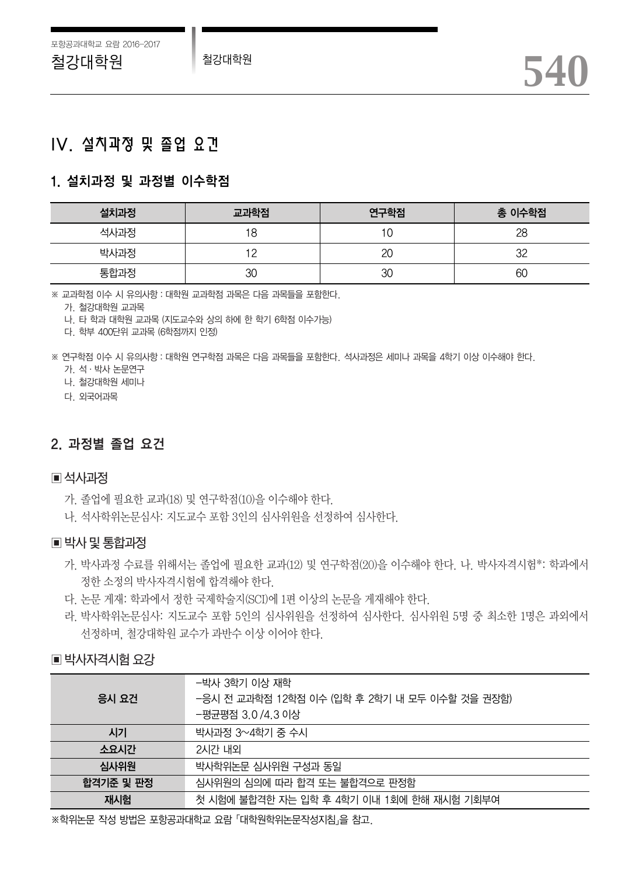# IV. 설치과정 및 졸업 요건

# 1. 설치과정 및 과정별 이수학점

| 설치과정 | 교과학점 | 연구학점 | 총 이수학점 |
|------|------|------|--------|
| 석사과정 | 8    | u    | 28     |
| 박사과정 |      | 2C   | າາ     |
| 통합과정 | 30   | 30   | 60     |

※ 교과학점 이수 시 유의사항:대학원 교과학점 과목은 다음 과목들을 포함한다.

가. 철강대학원 교과목

나. 타 학과 대학원 교과목 (지도교수와 상의 하에 한 학기 6학점 이수가능)

다. 학부 400단위 교과목 (6학점까지 인정)

※ 연구학점 이수 시 유의사항:대학원 연구학점 과목은 다음 과목들을 포함한다. 석사과정은 세미나 과목을 4학기 이상 이수해야 한다.

가. 석·박사 논문연구

나. 철강대학원 세미나

다. 외국어과목

# 2. 과정별 졸업 요건

## ▣석사과정

- 가. 졸업에 필요한 교과(18) 및 연구학점(10)을 이수해야 한다.
- 나. 석사학위논문심사: 지도교수 포함 3인의 심사위원을 선정하여 심사한다.

### ▣박사및통합과정

- 가. 박사과정 수료를 위해서는 졸업에 필요한 교과(12) 및 연구학점(20)을 이수해야 한다. 나. 박사자격시험\*: 학과에서 정한 소정의 박사자격시험에 합격해야 한다.
- 다. 논문 게재: 학과에서 정한 국제학술지(SCI)에 1편 이상의 논문을 게재해야 한다.
- 라. 박사학위논문심사: 지도교수 포함 5인의 심사위원을 선정하여 심사한다. 심사위원 5명 중 최소한 1명은 과외에서 선정하며, 철강대학원 교수가 과반수 이상 이어야 한다.

# ■ 박사자격시험 요강

|           | -박사 3학기 이상 재학                                 |  |  |  |  |  |
|-----------|-----------------------------------------------|--|--|--|--|--|
| 응시 요건     | -응시 전 교과학점 12학점 이수 (입학 후 2학기 내 모두 이수할 것을 권장함) |  |  |  |  |  |
|           | −평균평점 3.0 /4.3 이상                             |  |  |  |  |  |
| 시기        | 박사과정 3~4학기 중 수시                               |  |  |  |  |  |
| 소요시간      | 2시간 내외                                        |  |  |  |  |  |
| 심사위원      | 박사학위논문 심사위원 구성과 동일                            |  |  |  |  |  |
| 합격기준 및 판정 | 심사위원의 심의에 따라 합격 또는 불합격으로 판정함                  |  |  |  |  |  |
| 재시험       | 첫 시험에 불합격한 자는 입학 후 4학기 이내 1회에 한해 재시험 기회부여     |  |  |  |  |  |

※학위논문 작성 방법은 포항공과대학교 요람「대학원학위논문작성지침」을 참고.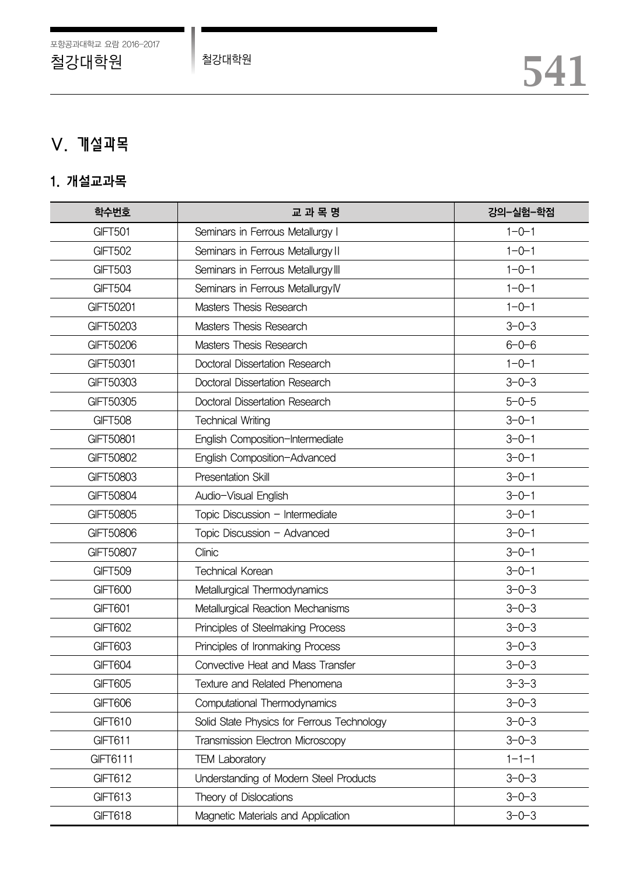# V. 개설과목

# 1. 개설교과목

| 학수번호             | 교과목명                                       | 강의-실험-학점    |  |  |  |
|------------------|--------------------------------------------|-------------|--|--|--|
| GIFT501          | Seminars in Ferrous Metallurgy I           | $1 - 0 - 1$ |  |  |  |
| <b>GIFT502</b>   | Seminars in Ferrous Metallurgy II          | $1 - 0 - 1$ |  |  |  |
| <b>GIFT503</b>   | Seminars in Ferrous Metallurgy III         | $1 - 0 - 1$ |  |  |  |
| <b>GIFT504</b>   | Seminars in Ferrous MetallurgylV           | $1 - 0 - 1$ |  |  |  |
| GIFT50201        | Masters Thesis Research                    | $1 - 0 - 1$ |  |  |  |
| GIFT50203        | Masters Thesis Research                    | $3 - 0 - 3$ |  |  |  |
| GIFT50206        | Masters Thesis Research                    | $6 - 0 - 6$ |  |  |  |
| GIFT50301        | Doctoral Dissertation Research             | $1 - 0 - 1$ |  |  |  |
| GIFT50303        | Doctoral Dissertation Research             | $3 - 0 - 3$ |  |  |  |
| GIFT50305        | Doctoral Dissertation Research             | $5 - 0 - 5$ |  |  |  |
| <b>GIFT508</b>   | <b>Technical Writing</b>                   | $3 - 0 - 1$ |  |  |  |
| GIFT50801        | English Composition-Intermediate           | $3 - 0 - 1$ |  |  |  |
| GIFT50802        | English Composition-Advanced               | $3 - 0 - 1$ |  |  |  |
| <b>GIFT50803</b> | Presentation Skill                         | $3 - 0 - 1$ |  |  |  |
| <b>GIFT50804</b> | Audio-Visual English                       | $3 - 0 - 1$ |  |  |  |
| GIFT50805        | Topic Discussion - Intermediate            | $3 - 0 - 1$ |  |  |  |
| GIFT50806        | Topic Discussion - Advanced                | $3 - 0 - 1$ |  |  |  |
| GIFT50807        | Clinic                                     | $3 - 0 - 1$ |  |  |  |
| <b>GIFT509</b>   | <b>Technical Korean</b>                    | $3 - 0 - 1$ |  |  |  |
| GIFT600          | Metallurgical Thermodynamics               | $3 - 0 - 3$ |  |  |  |
| GIFT601          | Metallurgical Reaction Mechanisms          | $3 - 0 - 3$ |  |  |  |
| <b>GIFT602</b>   | Principles of Steelmaking Process          | $3 - 0 - 3$ |  |  |  |
| <b>GIFT603</b>   | Principles of Ironmaking Process           | $3 - 0 - 3$ |  |  |  |
| GIFT604          | Convective Heat and Mass Transfer          | $3 - 0 - 3$ |  |  |  |
| <b>GIFT605</b>   | Texture and Related Phenomena              | $3 - 3 - 3$ |  |  |  |
| GIFT606          | Computational Thermodynamics               | $3 - 0 - 3$ |  |  |  |
| GIFT610          | Solid State Physics for Ferrous Technology | $3 - 0 - 3$ |  |  |  |
| GIFT611          | Transmission Electron Microscopy           | $3 - 0 - 3$ |  |  |  |
| GIFT6111         | <b>TEM Laboratory</b>                      | $1 - 1 - 1$ |  |  |  |
| GIFT612          | Understanding of Modern Steel Products     | $3 - 0 - 3$ |  |  |  |
| GIFT613          | Theory of Dislocations                     | $3 - 0 - 3$ |  |  |  |
| <b>GIFT618</b>   | Magnetic Materials and Application         | $3 - 0 - 3$ |  |  |  |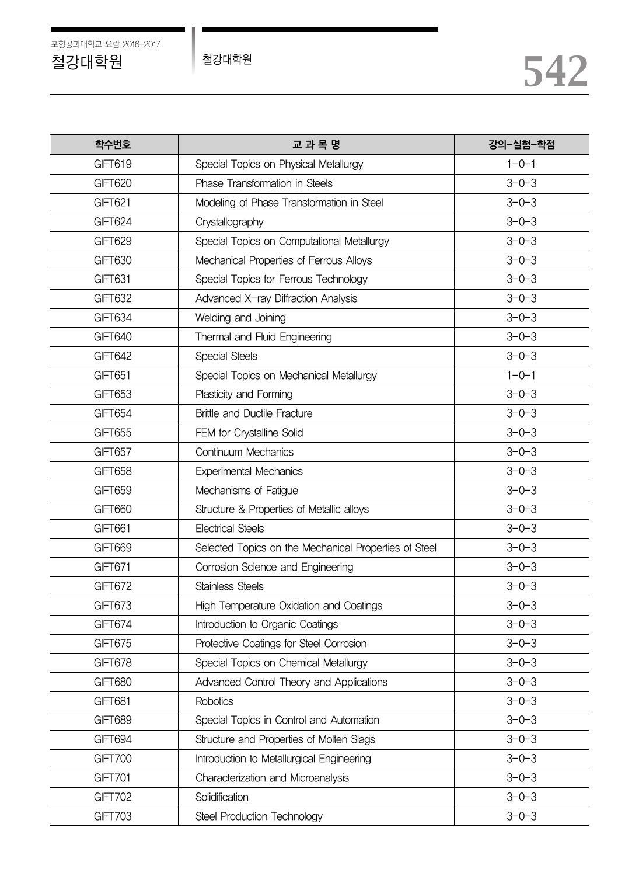| 학수번호           | 교과목명                                                  | 강의-실험-학점    |  |  |
|----------------|-------------------------------------------------------|-------------|--|--|
| GIFT619        | Special Topics on Physical Metallurgy                 | $1 - 0 - 1$ |  |  |
| GIFT620        | Phase Transformation in Steels                        | $3 - 0 - 3$ |  |  |
| GIFT621        | Modeling of Phase Transformation in Steel             | $3 - 0 - 3$ |  |  |
| GIFT624        | Crystallography                                       | $3 - 0 - 3$ |  |  |
| GIFT629        | Special Topics on Computational Metallurgy            | $3 - 0 - 3$ |  |  |
| <b>GIFT630</b> | Mechanical Properties of Ferrous Alloys               | $3 - 0 - 3$ |  |  |
| GIFT631        | Special Topics for Ferrous Technology                 | $3 - 0 - 3$ |  |  |
| <b>GIFT632</b> | Advanced X-ray Diffraction Analysis                   | $3 - 0 - 3$ |  |  |
| GIFT634        | Welding and Joining                                   | $3 - 0 - 3$ |  |  |
| <b>GIFT640</b> | Thermal and Fluid Engineering                         | $3 - 0 - 3$ |  |  |
| GIFT642        | Special Steels                                        | $3 - 0 - 3$ |  |  |
| GIFT651        | Special Topics on Mechanical Metallurgy               | $1 - 0 - 1$ |  |  |
| <b>GIFT653</b> | Plasticity and Forming                                | $3 - 0 - 3$ |  |  |
| GIFT654        | <b>Brittle and Ductile Fracture</b>                   | $3 - 0 - 3$ |  |  |
| <b>GIFT655</b> | FEM for Crystalline Solid                             | $3 - 0 - 3$ |  |  |
| GIFT657        | Continuum Mechanics                                   | $3 - 0 - 3$ |  |  |
| <b>GIFT658</b> | <b>Experimental Mechanics</b>                         | $3 - 0 - 3$ |  |  |
| <b>GIFT659</b> | Mechanisms of Fatigue                                 | $3 - 0 - 3$ |  |  |
| GIFT660        | Structure & Properties of Metallic alloys             | $3 - 0 - 3$ |  |  |
| GIFT661        | <b>Electrical Steels</b>                              | $3 - 0 - 3$ |  |  |
| GIFT669        | Selected Topics on the Mechanical Properties of Steel | $3 - 0 - 3$ |  |  |
| GIFT671        | Corrosion Science and Engineering                     | $3 - 0 - 3$ |  |  |
| GIFT672        | <b>Stainless Steels</b>                               | $3 - 0 - 3$ |  |  |
| GIFT673        | High Temperature Oxidation and Coatings               | $3 - 0 - 3$ |  |  |
| GIFT674        | Introduction to Organic Coatings                      | $3 - 0 - 3$ |  |  |
| GIFT675        | Protective Coatings for Steel Corrosion               | $3 - 0 - 3$ |  |  |
| GIFT678        | Special Topics on Chemical Metallurgy                 | $3 - 0 - 3$ |  |  |
| GIFT680        | Advanced Control Theory and Applications              | $3 - 0 - 3$ |  |  |
| GIFT681        | <b>Robotics</b>                                       | $3 - 0 - 3$ |  |  |
| <b>GIFT689</b> | Special Topics in Control and Automation              | $3 - 0 - 3$ |  |  |
| GIFT694        | Structure and Properties of Molten Slags              | $3 - 0 - 3$ |  |  |
| <b>GIFT700</b> | Introduction to Metallurgical Engineering             | $3 - 0 - 3$ |  |  |
| <b>GIFT701</b> | Characterization and Microanalysis                    | $3 - 0 - 3$ |  |  |
| <b>GIFT702</b> | Solidification                                        | $3 - 0 - 3$ |  |  |
| <b>GIFT703</b> | Steel Production Technology                           | $3 - 0 - 3$ |  |  |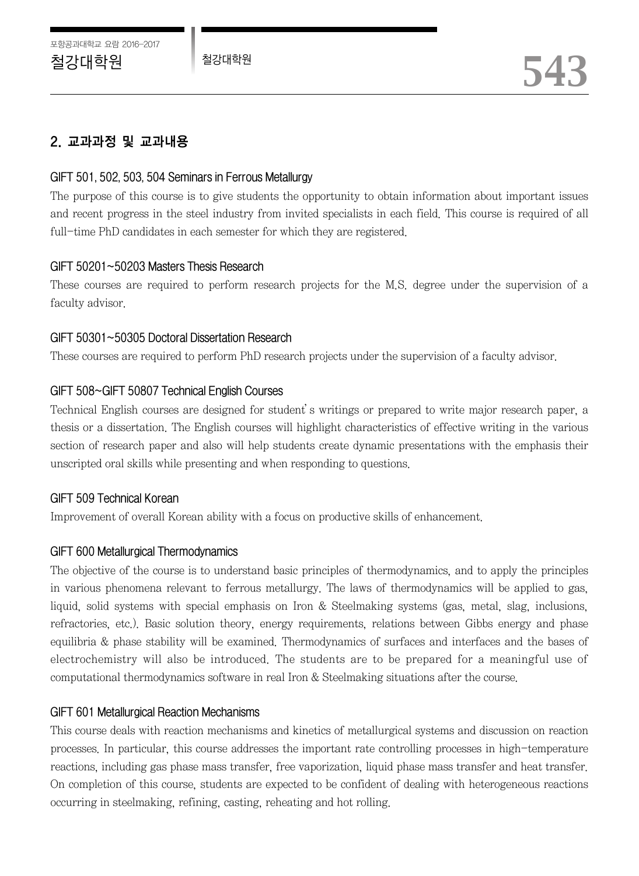# 2. 교과과정 및 교과내용

### GIFT 501, 502, 503, 504 Seminars in Ferrous Metallurgy

The purpose of this course is to give students the opportunity to obtain information about important issues and recent progress in the steel industry from invited specialists in each field. This course is required of all full-time PhD candidates in each semester for which they are registered.

## GIFT 50201~50203 Masters Thesis Research

These courses are required to perform research projects for the M.S. degree under the supervision of a faculty advisor.

## GIFT 50301~50305 Doctoral Dissertation Research

These courses are required to perform PhD research projects under the supervision of a faculty advisor.

# GIFT 508~GIFT 50807 Technical English Courses

Technical English courses are designed for student's writings or prepared to write major research paper, a thesis or a dissertation. The English courses will highlight characteristics of effective writing in the various section of research paper and also will help students create dynamic presentations with the emphasis their unscripted oral skills while presenting and when responding to questions.

### GIFT 509 Technical Korean

Improvement of overall Korean ability with a focus on productive skills of enhancement.

# GIFT 600 Metallurgical Thermodynamics

The objective of the course is to understand basic principles of thermodynamics, and to apply the principles in various phenomena relevant to ferrous metallurgy. The laws of thermodynamics will be applied to gas, liquid, solid systems with special emphasis on Iron & Steelmaking systems (gas, metal, slag, inclusions, refractories, etc.). Basic solution theory, energy requirements, relations between Gibbs energy and phase equilibria & phase stability will be examined. Thermodynamics of surfaces and interfaces and the bases of electrochemistry will also be introduced. The students are to be prepared for a meaningful use of computational thermodynamics software in real Iron & Steelmaking situations after the course.

### GIFT 601 Metallurgical Reaction Mechanisms

This course deals with reaction mechanisms and kinetics of metallurgical systems and discussion on reaction processes. In particular, this course addresses the important rate controlling processes in high-temperature reactions, including gas phase mass transfer, free vaporization, liquid phase mass transfer and heat transfer. On completion of this course, students are expected to be confident of dealing with heterogeneous reactions occurring in steelmaking, refining, casting, reheating and hot rolling.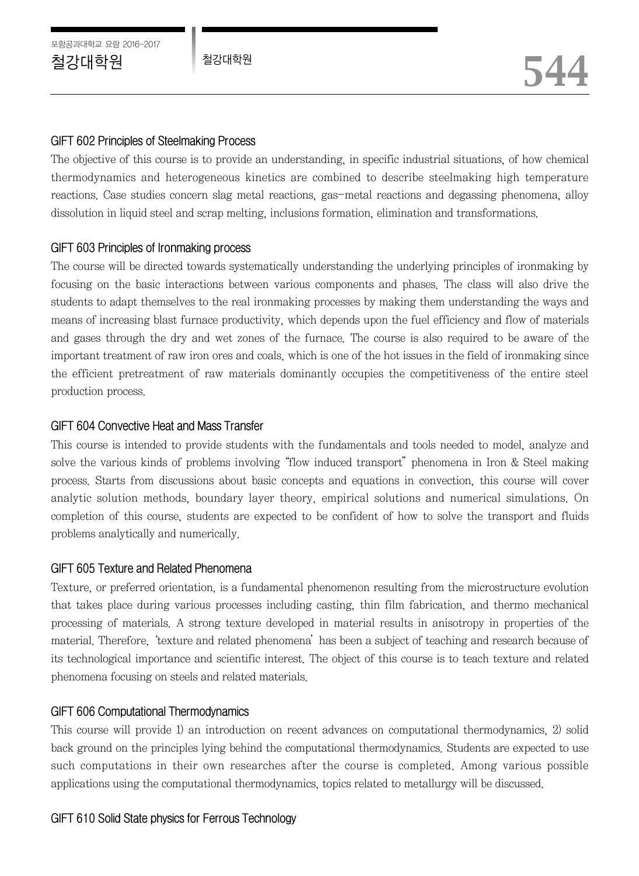## GIFT 602 Principles of Steelmaking Process

The objective of this course is to provide an understanding, in specific industrial situations, of how chemical thermodynamics and heterogeneous kinetics are combined to describe steelmaking high temperature reactions. Case studies concern slag metal reactions, gas-metal reactions and degassing phenomena, alloy dissolution in liquid steel and scrap melting, inclusions formation, elimination and transformations.

# GIFT 603 Principles of Ironmaking process

The course will be directed towards systematically understanding the underlying principles of ironmaking by focusing on the basic interactions between various components and phases. The class will also drive the students to adapt themselves to the real ironmaking processes by making them understanding the ways and means of increasing blast furnace productivity, which depends upon the fuel efficiency and flow of materials and gases through the dry and wet zones of the furnace. The course is also required to be aware of the important treatment of raw iron ores and coals, which is one of the hot issues in the field of ironmaking since the efficient pretreatment of raw materials dominantly occupies the competitiveness of the entire steel production process.

## GIFT 604 Convective Heat and Mass Transfer

This course is intended to provide students with the fundamentals and tools needed to model, analyze and solve the various kinds of problems involving "flow induced transport" phenomena in Iron & Steel making process. Starts from discussions about basic concepts and equations in convection, this course will cover analytic solution methods, boundary layer theory, empirical solutions and numerical simulations. On completion of this course, students are expected to be confident of how to solve the transport and fluids problems analytically and numerically.

### GIFT 605 Texture and Related Phenomena

Texture, or preferred orientation, is a fundamental phenomenon resulting from the microstructure evolution that takes place during various processes including casting, thin film fabrication, and thermo mechanical processing of materials. A strong texture developed in material results in anisotropy in properties of the material. Therefore, 'texture and related phenomena'has been a subject of teaching and research because of its technological importance and scientific interest. The object of this course is to teach texture and related phenomena focusing on steels and related materials.

# GIFT 606 Computational Thermodynamics

This course will provide 1) an introduction on recent advances on computational thermodynamics, 2) solid back ground on the principles lying behind the computational thermodynamics. Students are expected to use such computations in their own researches after the course is completed. Among various possible applications using the computational thermodynamics, topics related to metallurgy will be discussed.

# GIFT 610 Solid State physics for Ferrous Technology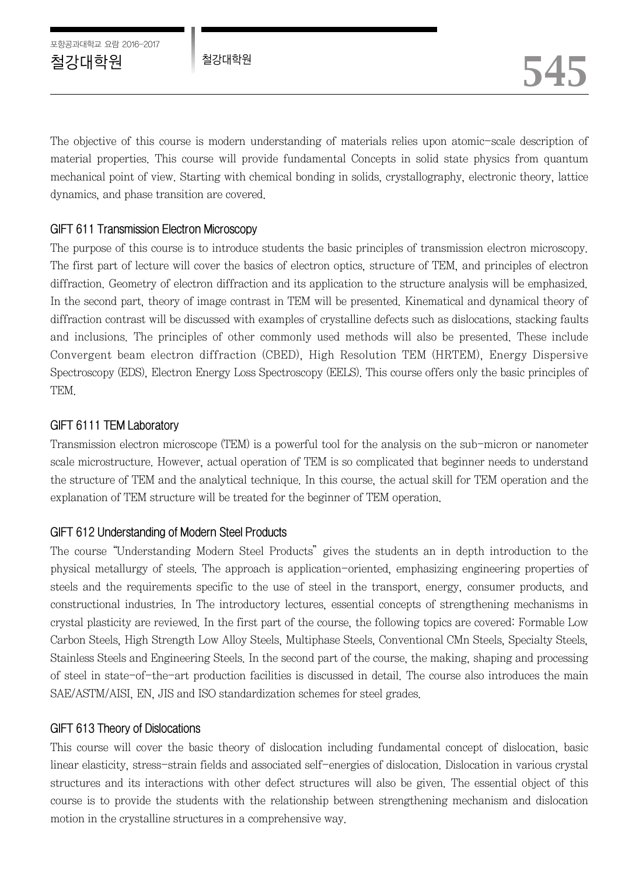The objective of this course is modern understanding of materials relies upon atomic-scale description of material properties. This course will provide fundamental Concepts in solid state physics from quantum mechanical point of view. Starting with chemical bonding in solids, crystallography, electronic theory, lattice dynamics, and phase transition are covered.

# GIFT 611 Transmission Electron Microscopy

The purpose of this course is to introduce students the basic principles of transmission electron microscopy. The first part of lecture will cover the basics of electron optics, structure of TEM, and principles of electron diffraction. Geometry of electron diffraction and its application to the structure analysis will be emphasized. In the second part, theory of image contrast in TEM will be presented. Kinematical and dynamical theory of diffraction contrast will be discussed with examples of crystalline defects such as dislocations, stacking faults and inclusions. The principles of other commonly used methods will also be presented. These include Convergent beam electron diffraction (CBED), High Resolution TEM (HRTEM), Energy Dispersive Spectroscopy (EDS), Electron Energy Loss Spectroscopy (EELS). This course offers only the basic principles of TEM.

# GIFT 6111 TEM Laboratory

Transmission electron microscope (TEM) is a powerful tool for the analysis on the sub-micron or nanometer scale microstructure. However, actual operation of TEM is so complicated that beginner needs to understand the structure of TEM and the analytical technique. In this course, the actual skill for TEM operation and the explanation of TEM structure will be treated for the beginner of TEM operation.

# GIFT 612 Understanding of Modern Steel Products

The course "Understanding Modern Steel Products" gives the students an in depth introduction to the physical metallurgy of steels. The approach is application-oriented, emphasizing engineering properties of steels and the requirements specific to the use of steel in the transport, energy, consumer products, and constructional industries. In The introductory lectures, essential concepts of strengthening mechanisms in crystal plasticity are reviewed. In the first part of the course, the following topics are covered: Formable Low Carbon Steels, High Strength Low Alloy Steels, Multiphase Steels, Conventional CMn Steels, Specialty Steels, Stainless Steels and Engineering Steels. In the second part of the course, the making, shaping and processing of steel in state-of-the-art production facilities is discussed in detail. The course also introduces the main SAE/ASTM/AISI, EN, JIS and ISO standardization schemes for steel grades.

# GIFT 613 Theory of Dislocations

This course will cover the basic theory of dislocation including fundamental concept of dislocation, basic linear elasticity, stress-strain fields and associated self-energies of dislocation. Dislocation in various crystal structures and its interactions with other defect structures will also be given. The essential object of this course is to provide the students with the relationship between strengthening mechanism and dislocation motion in the crystalline structures in a comprehensive way.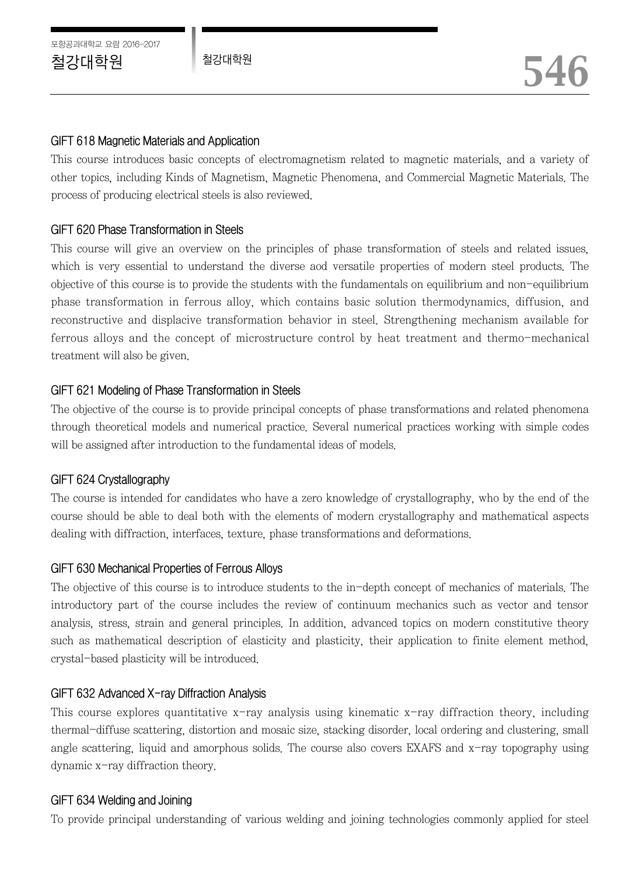## GIFT 618 Magnetic Materials and Application

This course introduces basic concepts of electromagnetism related to magnetic materials, and a variety of other topics, including Kinds of Magnetism, Magnetic Phenomena, and Commercial Magnetic Materials. The process of producing electrical steels is also reviewed.

# GIFT 620 Phase Transformation in Steels

This course will give an overview on the principles of phase transformation of steels and related issues, which is very essential to understand the diverse aod versatile properties of modern steel products. The objective of this course is to provide the students with the fundamentals on equilibrium and non-equilibrium phase transformation in ferrous alloy, which contains basic solution thermodynamics, diffusion, and reconstructive and displacive transformation behavior in steel. Strengthening mechanism available for ferrous alloys and the concept of microstructure control by heat treatment and thermo-mechanical treatment will also be given.

# GIFT 621 Modeling of Phase Transformation in Steels

The objective of the course is to provide principal concepts of phase transformations and related phenomena through theoretical models and numerical practice. Several numerical practices working with simple codes will be assigned after introduction to the fundamental ideas of models.

# GIFT 624 Crystallography

The course is intended for candidates who have a zero knowledge of crystallography, who by the end of the course should be able to deal both with the elements of modern crystallography and mathematical aspects dealing with diffraction, interfaces, texture, phase transformations and deformations.

### GIFT 630 Mechanical Properties of Ferrous Alloys

The objective of this course is to introduce students to the in-depth concept of mechanics of materials. The introductory part of the course includes the review of continuum mechanics such as vector and tensor analysis, stress, strain and general principles. In addition, advanced topics on modern constitutive theory such as mathematical description of elasticity and plasticity, their application to finite element method, crystal-based plasticity will be introduced.

### GIFT 632 Advanced X-ray Diffraction Analysis

This course explores quantitative  $x$ -ray analysis using kinematic  $x$ -ray diffraction theory, including thermal-diffuse scattering, distortion and mosaic size, stacking disorder, local ordering and clustering, small angle scattering, liquid and amorphous solids. The course also covers EXAFS and x-ray topography using dynamic x-ray diffraction theory.

### GIFT 634 Welding and Joining

To provide principal understanding of various welding and joining technologies commonly applied for steel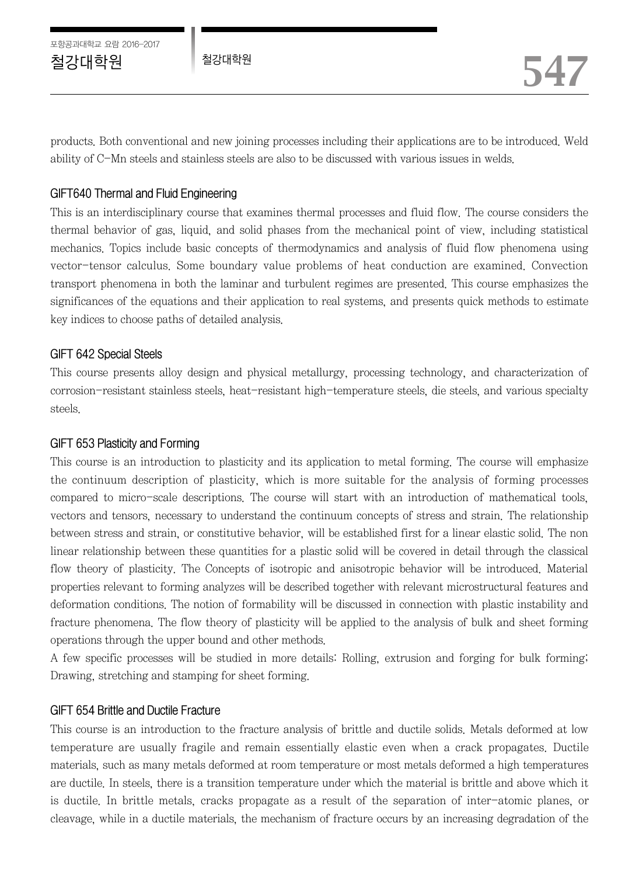products. Both conventional and new joining processes including their applications are to be introduced. Weld ability of C-Mn steels and stainless steels are also to be discussed with various issues in welds.

## GIFT640 Thermal and Fluid Engineering

This is an interdisciplinary course that examines thermal processes and fluid flow. The course considers the thermal behavior of gas, liquid, and solid phases from the mechanical point of view, including statistical mechanics. Topics include basic concepts of thermodynamics and analysis of fluid flow phenomena using vector-tensor calculus. Some boundary value problems of heat conduction are examined. Convection transport phenomena in both the laminar and turbulent regimes are presented. This course emphasizes the significances of the equations and their application to real systems, and presents quick methods to estimate key indices to choose paths of detailed analysis.

## GIFT 642 Special Steels

This course presents alloy design and physical metallurgy, processing technology, and characterization of corrosion-resistant stainless steels, heat-resistant high-temperature steels, die steels, and various specialty steels.

### GIFT 653 Plasticity and Forming

This course is an introduction to plasticity and its application to metal forming. The course will emphasize the continuum description of plasticity, which is more suitable for the analysis of forming processes compared to micro-scale descriptions. The course will start with an introduction of mathematical tools, vectors and tensors, necessary to understand the continuum concepts of stress and strain. The relationship between stress and strain, or constitutive behavior, will be established first for a linear elastic solid. The non linear relationship between these quantities for a plastic solid will be covered in detail through the classical flow theory of plasticity. The Concepts of isotropic and anisotropic behavior will be introduced. Material properties relevant to forming analyzes will be described together with relevant microstructural features and deformation conditions. The notion of formability will be discussed in connection with plastic instability and fracture phenomena. The flow theory of plasticity will be applied to the analysis of bulk and sheet forming operations through the upper bound and other methods.

A few specific processes will be studied in more details: Rolling, extrusion and forging for bulk forming; Drawing, stretching and stamping for sheet forming.

### GIFT 654 Brittle and Ductile Fracture

This course is an introduction to the fracture analysis of brittle and ductile solids. Metals deformed at low temperature are usually fragile and remain essentially elastic even when a crack propagates. Ductile materials, such as many metals deformed at room temperature or most metals deformed a high temperatures are ductile. In steels, there is a transition temperature under which the material is brittle and above which it is ductile. In brittle metals, cracks propagate as a result of the separation of inter-atomic planes, or cleavage, while in a ductile materials, the mechanism of fracture occurs by an increasing degradation of the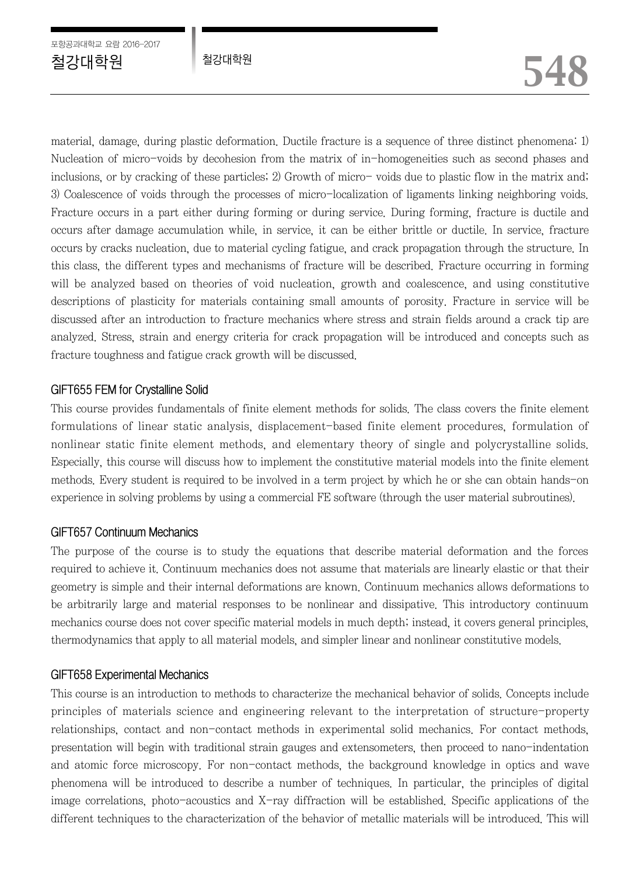material, damage, during plastic deformation. Ductile fracture is a sequence of three distinct phenomena: 1) Nucleation of micro-voids by decohesion from the matrix of in-homogeneities such as second phases and inclusions, or by cracking of these particles; 2) Growth of micro- voids due to plastic flow in the matrix and; 3) Coalescence of voids through the processes of micro-localization of ligaments linking neighboring voids. Fracture occurs in a part either during forming or during service. During forming, fracture is ductile and occurs after damage accumulation while, in service, it can be either brittle or ductile. In service, fracture occurs by cracks nucleation, due to material cycling fatigue, and crack propagation through the structure. In this class, the different types and mechanisms of fracture will be described. Fracture occurring in forming will be analyzed based on theories of void nucleation, growth and coalescence, and using constitutive descriptions of plasticity for materials containing small amounts of porosity. Fracture in service will be discussed after an introduction to fracture mechanics where stress and strain fields around a crack tip are analyzed. Stress, strain and energy criteria for crack propagation will be introduced and concepts such as fracture toughness and fatigue crack growth will be discussed.

## GIFT655 FEM for Crystalline Solid

This course provides fundamentals of finite element methods for solids. The class covers the finite element formulations of linear static analysis, displacement-based finite element procedures, formulation of nonlinear static finite element methods, and elementary theory of single and polycrystalline solids. Especially, this course will discuss how to implement the constitutive material models into the finite element methods. Every student is required to be involved in a term project by which he or she can obtain hands-on experience in solving problems by using a commercial FE software (through the user material subroutines).

# GIFT657 Continuum Mechanics

The purpose of the course is to study the equations that describe material deformation and the forces required to achieve it. Continuum mechanics does not assume that materials are linearly elastic or that their geometry is simple and their internal deformations are known. Continuum mechanics allows deformations to be arbitrarily large and material responses to be nonlinear and dissipative. This introductory continuum mechanics course does not cover specific material models in much depth; instead, it covers general principles, thermodynamics that apply to all material models, and simpler linear and nonlinear constitutive models.

# GIFT658 Experimental Mechanics

This course is an introduction to methods to characterize the mechanical behavior of solids. Concepts include principles of materials science and engineering relevant to the interpretation of structure-property relationships, contact and non-contact methods in experimental solid mechanics. For contact methods, presentation will begin with traditional strain gauges and extensometers, then proceed to nano-indentation and atomic force microscopy. For non-contact methods, the background knowledge in optics and wave phenomena will be introduced to describe a number of techniques. In particular, the principles of digital image correlations, photo-acoustics and X-ray diffraction will be established. Specific applications of the different techniques to the characterization of the behavior of metallic materials will be introduced. This will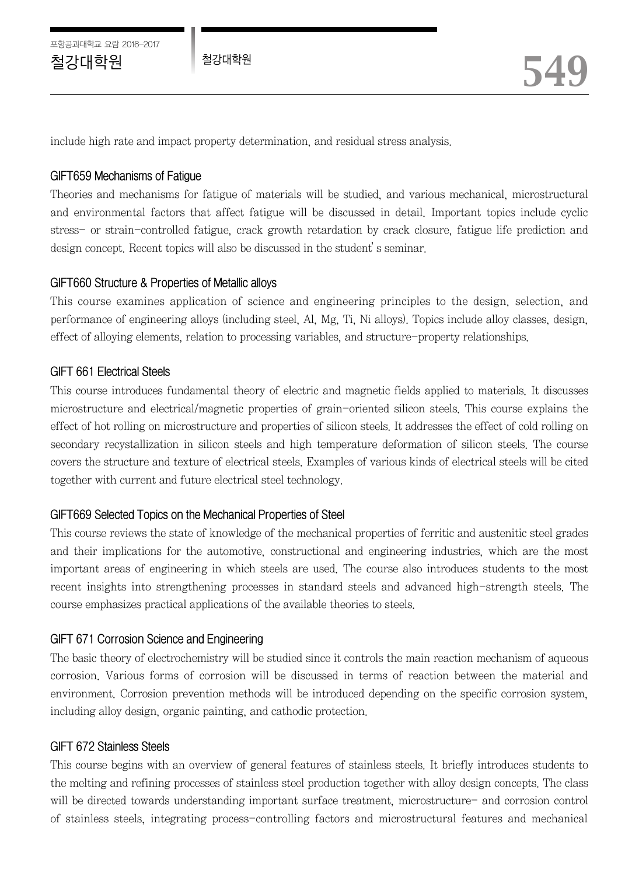포항공과대학교 요람 2016-2017

include high rate and impact property determination, and residual stress analysis.

#### GIFT659 Mechanisms of Fatigue

Theories and mechanisms for fatigue of materials will be studied, and various mechanical, microstructural and environmental factors that affect fatigue will be discussed in detail. Important topics include cyclic stress- or strain-controlled fatigue, crack growth retardation by crack closure, fatigue life prediction and design concept. Recent topics will also be discussed in the student's seminar.

### GIFT660 Structure & Properties of Metallic alloys

This course examines application of science and engineering principles to the design, selection, and performance of engineering alloys (including steel, Al, Mg, Ti, Ni alloys). Topics include alloy classes, design, effect of alloying elements, relation to processing variables, and structure-property relationships.

### GIFT 661 Electrical Steels

This course introduces fundamental theory of electric and magnetic fields applied to materials. It discusses microstructure and electrical/magnetic properties of grain-oriented silicon steels. This course explains the effect of hot rolling on microstructure and properties of silicon steels. It addresses the effect of cold rolling on secondary recystallization in silicon steels and high temperature deformation of silicon steels. The course covers the structure and texture of electrical steels. Examples of various kinds of electrical steels will be cited together with current and future electrical steel technology.

### GIFT669 Selected Topics on the Mechanical Properties of Steel

This course reviews the state of knowledge of the mechanical properties of ferritic and austenitic steel grades and their implications for the automotive, constructional and engineering industries, which are the most important areas of engineering in which steels are used. The course also introduces students to the most recent insights into strengthening processes in standard steels and advanced high-strength steels. The course emphasizes practical applications of the available theories to steels.

### GIFT 671 Corrosion Science and Engineering

The basic theory of electrochemistry will be studied since it controls the main reaction mechanism of aqueous corrosion. Various forms of corrosion will be discussed in terms of reaction between the material and environment. Corrosion prevention methods will be introduced depending on the specific corrosion system, including alloy design, organic painting, and cathodic protection.

#### GIFT 672 Stainless Steels

This course begins with an overview of general features of stainless steels. It briefly introduces students to the melting and refining processes of stainless steel production together with alloy design concepts. The class will be directed towards understanding important surface treatment, microstructure- and corrosion control of stainless steels, integrating process-controlling factors and microstructural features and mechanical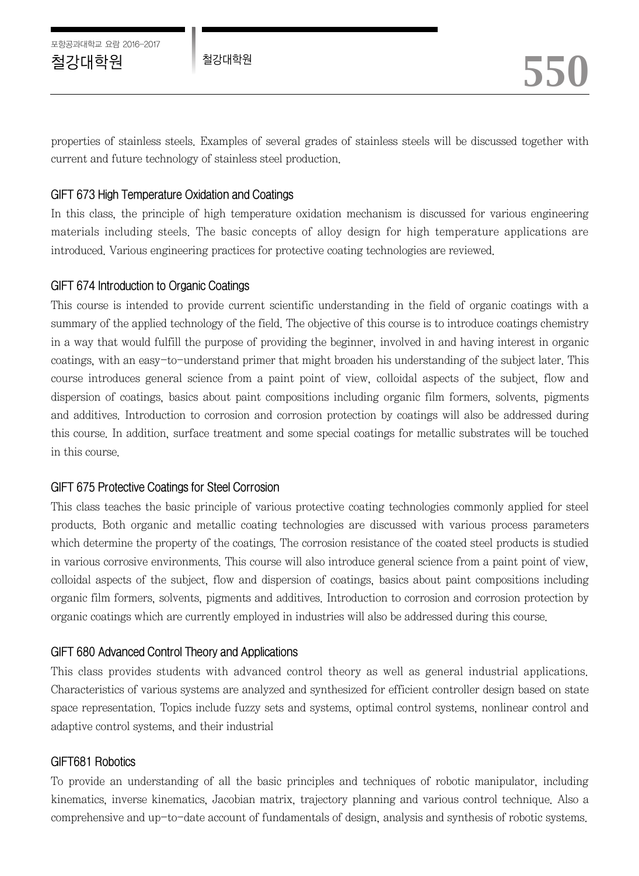포항공과대학교 요람 2016-2017

properties of stainless steels. Examples of several grades of stainless steels will be discussed together with current and future technology of stainless steel production.

# GIFT 673 High Temperature Oxidation and Coatings

In this class, the principle of high temperature oxidation mechanism is discussed for various engineering materials including steels. The basic concepts of alloy design for high temperature applications are introduced. Various engineering practices for protective coating technologies are reviewed.

## GIFT 674 Introduction to Organic Coatings

This course is intended to provide current scientific understanding in the field of organic coatings with a summary of the applied technology of the field. The objective of this course is to introduce coatings chemistry in a way that would fulfill the purpose of providing the beginner, involved in and having interest in organic coatings, with an easy-to-understand primer that might broaden his understanding of the subject later. This course introduces general science from a paint point of view, colloidal aspects of the subject, flow and dispersion of coatings, basics about paint compositions including organic film formers, solvents, pigments and additives. Introduction to corrosion and corrosion protection by coatings will also be addressed during this course. In addition, surface treatment and some special coatings for metallic substrates will be touched in this course.

# GIFT 675 Protective Coatings for Steel Corrosion

This class teaches the basic principle of various protective coating technologies commonly applied for steel products. Both organic and metallic coating technologies are discussed with various process parameters which determine the property of the coatings. The corrosion resistance of the coated steel products is studied in various corrosive environments. This course will also introduce general science from a paint point of view, colloidal aspects of the subject, flow and dispersion of coatings, basics about paint compositions including organic film formers, solvents, pigments and additives. Introduction to corrosion and corrosion protection by organic coatings which are currently employed in industries will also be addressed during this course.

# GIFT 680 Advanced Control Theory and Applications

This class provides students with advanced control theory as well as general industrial applications. Characteristics of various systems are analyzed and synthesized for efficient controller design based on state space representation. Topics include fuzzy sets and systems, optimal control systems, nonlinear control and adaptive control systems, and their industrial

### GIFT681 Robotics

To provide an understanding of all the basic principles and techniques of robotic manipulator, including kinematics, inverse kinematics, Jacobian matrix, trajectory planning and various control technique. Also a comprehensive and up-to-date account of fundamentals of design, analysis and synthesis of robotic systems.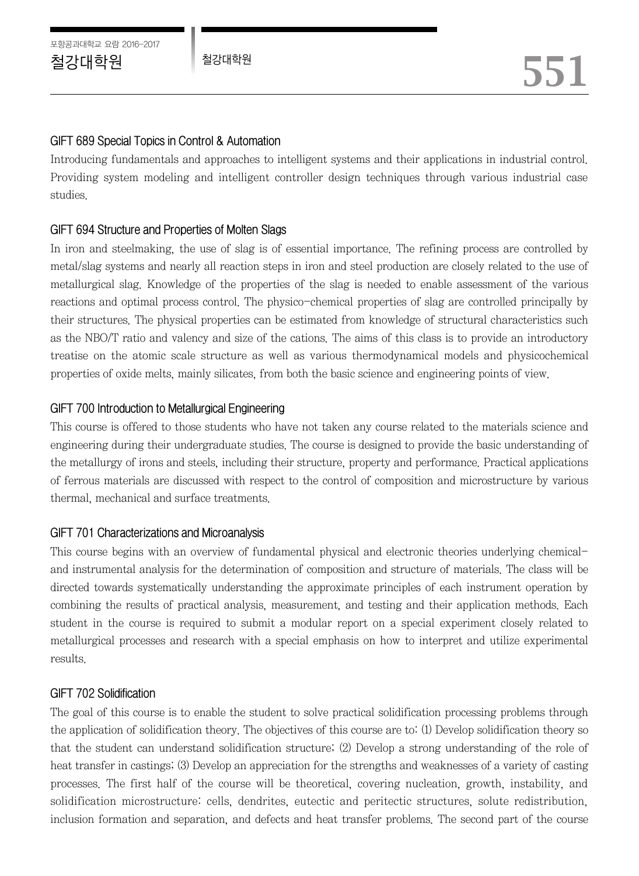# GIFT 689 Special Topics in Control & Automation

Introducing fundamentals and approaches to intelligent systems and their applications in industrial control. Providing system modeling and intelligent controller design techniques through various industrial case studies.

# GIFT 694 Structure and Properties of Molten Slags

In iron and steelmaking, the use of slag is of essential importance. The refining process are controlled by metal/slag systems and nearly all reaction steps in iron and steel production are closely related to the use of metallurgical slag. Knowledge of the properties of the slag is needed to enable assessment of the various reactions and optimal process control. The physico-chemical properties of slag are controlled principally by their structures. The physical properties can be estimated from knowledge of structural characteristics such as the NBO/T ratio and valency and size of the cations. The aims of this class is to provide an introductory treatise on the atomic scale structure as well as various thermodynamical models and physicochemical properties of oxide melts, mainly silicates, from both the basic science and engineering points of view.

# GIFT 700 Introduction to Metallurgical Engineering

This course is offered to those students who have not taken any course related to the materials science and engineering during their undergraduate studies. The course is designed to provide the basic understanding of the metallurgy of irons and steels, including their structure, property and performance. Practical applications of ferrous materials are discussed with respect to the control of composition and microstructure by various thermal, mechanical and surface treatments.

# GIFT 701 Characterizations and Microanalysis

This course begins with an overview of fundamental physical and electronic theories underlying chemicaland instrumental analysis for the determination of composition and structure of materials. The class will be directed towards systematically understanding the approximate principles of each instrument operation by combining the results of practical analysis, measurement, and testing and their application methods. Each student in the course is required to submit a modular report on a special experiment closely related to metallurgical processes and research with a special emphasis on how to interpret and utilize experimental results.

# GIFT 702 Solidification

The goal of this course is to enable the student to solve practical solidification processing problems through the application of solidification theory. The objectives of this course are to: (1) Develop solidification theory so that the student can understand solidification structure; (2) Develop a strong understanding of the role of heat transfer in castings; (3) Develop an appreciation for the strengths and weaknesses of a variety of casting processes. The first half of the course will be theoretical, covering nucleation, growth, instability, and solidification microstructure: cells, dendrites, eutectic and peritectic structures, solute redistribution, inclusion formation and separation, and defects and heat transfer problems. The second part of the course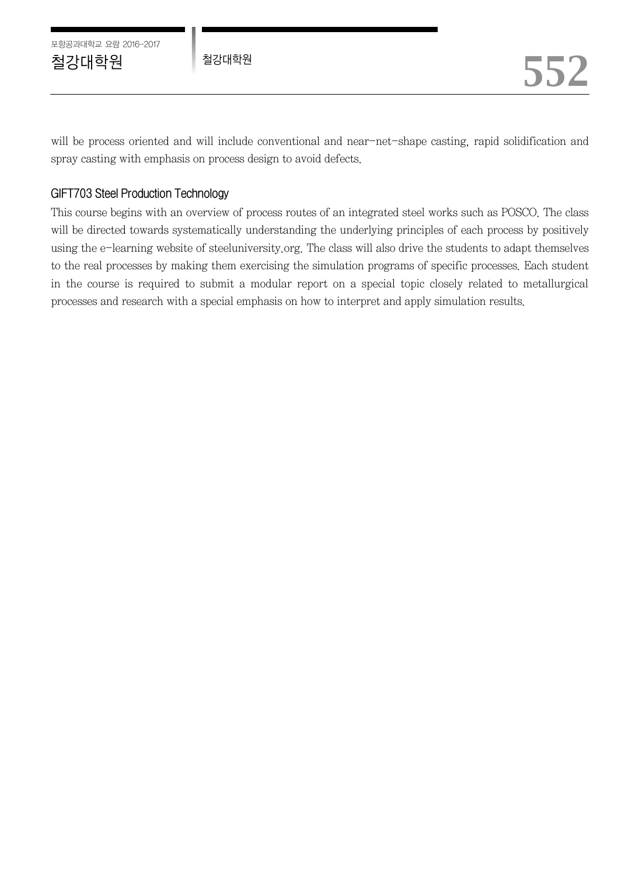포항공과대학교 요람 2016-2017

will be process oriented and will include conventional and near-net-shape casting, rapid solidification and spray casting with emphasis on process design to avoid defects.

# GIFT703 Steel Production Technology

This course begins with an overview of process routes of an integrated steel works such as POSCO. The class will be directed towards systematically understanding the underlying principles of each process by positively using the e-learning website of steeluniversity.org. The class will also drive the students to adapt themselves to the real processes by making them exercising the simulation programs of specific processes. Each student in the course is required to submit a modular report on a special topic closely related to metallurgical processes and research with a special emphasis on how to interpret and apply simulation results.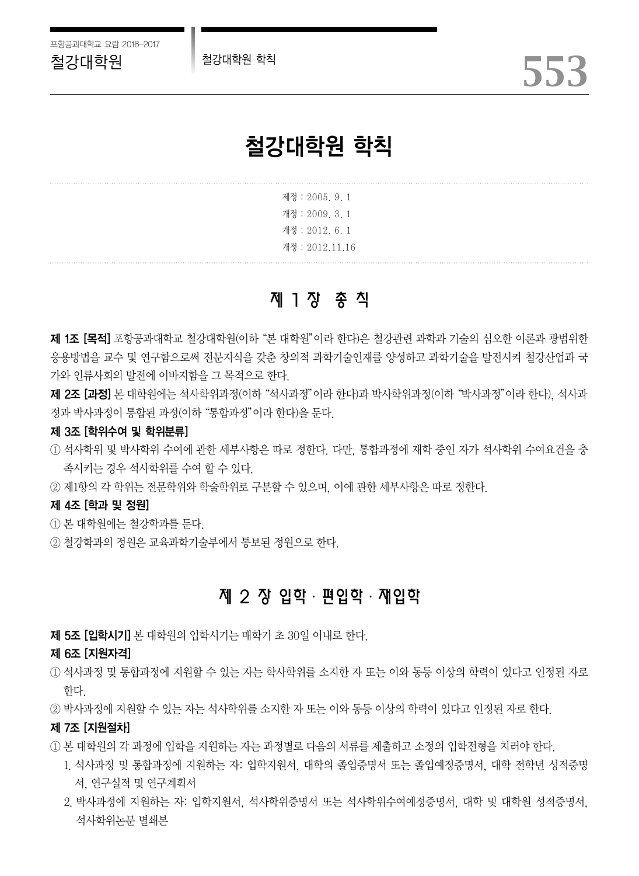

# 철강대학원 학칙

|  | 제정 : 2005, 9, 1 |
|--|-----------------|
|  | 개정 : 2009. 3. 1 |
|  | 개정 : 2012, 6, 1 |
|  | 개정 : 2012.11.16 |

# 제 1 장 총 칙

제 1조 [목적] 포항공과대학교 철강대학원(이하 "본 대학원"이라 한다)은 철강관련 과학과 기술의 심오한 이로과 광범위한 응용방법을 교수 및 연구함으로써 전문지식을 갖춘 창의적 과학기술인재를 양성하고 과학기술을 발전시켜 철강산업과 국 가와 인류사회의 발전에 이바지함을 그 목적으로 한다.

**제 2조 [과정]** 본 대학워에는 석사학위과정(이하 "석사과정"이라 한다)과 박사학위과정(이하 "박사과정"이라 한다), 석사과 정과 박사과정이 통합된 과정(이하"통합과정"이라 한다)을 둔다.

#### 제 3조 [학위수여 및 학위분류]

① 석사학위 및 박사학위 수여에 관한 세부사항은 따로 정한다. 다만, 통합과정에 재학 중인 자가 석사학위 수여요건을 충 족시키는 경우 석사학위를 수여 할 수 있다.

② 제1항의 각 학위는 전문학위와 학술학위로 구분할 수 있으며, 이에 관한 세부사항은 따로 정한다.

#### 제 4조 [학과 및 정원]

- ① 본 대학원에는 철강학과를 둔다.
- ② 철강학과의 정원은 교육과학기술부에서 통보된 정원으로 한다.

# 제 2 장 입학ㆍ편입학ㆍ재입학

제 5조 [입학시기] 본 대학원의 입학시기는 매학기 초 30일 이내로 한다.

#### 제 6조 [지원자격]

- ① 석사과정 및 통합과정에 지원할 수 있는 자는 학사학위를 소지한 자 또는 이와 동등 이상의 학력이 있다고 인정된 자로 한다.
- ② 박사과정에 지원할 수 있는 자는 석사학위를 소지한 자 또는 이와 동등 이상의 학력이 있다고 인정된 자로 한다.

#### 제 7조 [지원절차]

- ① 본 대학원의 각 과정에 입학을 지원하는 자는 과정별로 다음의 서류를 제출하고 소정의 입학전형을 치러야 한다.
	- 1. 석사과정 및 통합과정에 지원하는 자: 입학지원서, 대학의 졸업증명서 또는 졸업예정증명서, 대학 전학년 성적증명 서, 연구실적 및 연구계획서
	- 2. 박사과정에 지원하는 자: 입학지원서, 석사학위증명서 또는 석사학위수여예정증명서, 대학 및 대학원 성적증명서, 석사학위논문 별쇄본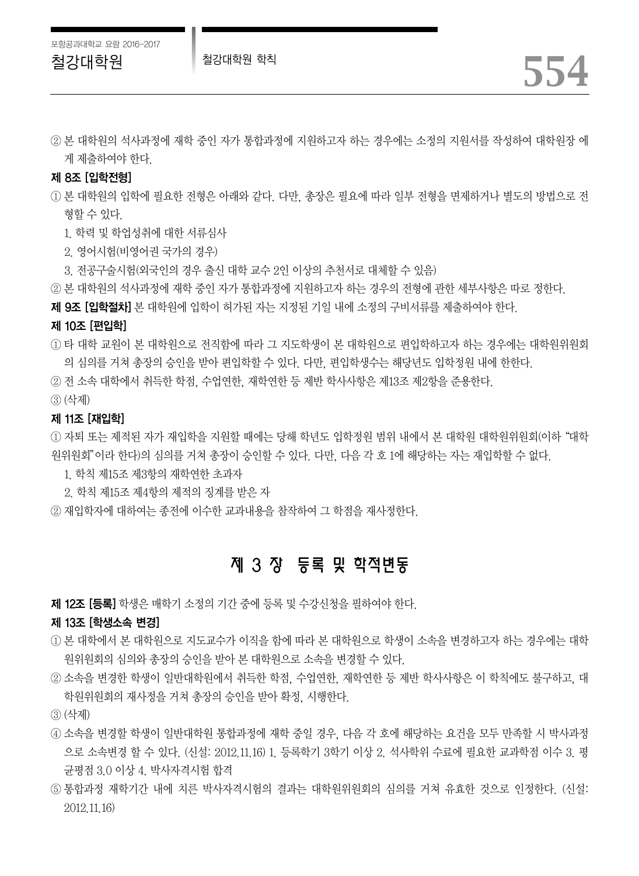철강대학원 철강대학원 학칙 *554*

② 본 대학원의 석사과정에 재학 중인 자가 통합과정에 지원하고자 하는 경우에는 소정의 지원서를 작성하여 대학원장 에 게 제출하여야 한다.

#### 제 8조 [입학전형]

- ① 본 대학원의 입학에 필요한 전형은 아래와 같다. 다만, 총장은 필요에 따라 일부 전형을 면제하거나 별도의 방법으로 전 형할 수 있다.
	- 1. 학력 및 학업성취에 대한 서류심사
	- 2. 영어시험(비영어권 국가의 경우)
	- 3. 전공구술시험(외국인의 경우 출신 대학 교수 2인 이상의 추천서로 대체할 수 있음)
- ② 본 대학원의 석사과정에 재학 중인 자가 통합과정에 지원하고자 하는 경우의 전형에 관한 세부사항은 따로 정한다.
- 제 9조 [입학절차] 본 대학원에 입학이 허가된 자는 지정된 기일 내에 소정의 구비서류를 제출하여야 한다.

#### 제 10조 [편입학]

- ① 타 대학 교원이 본 대학원으로 전직함에 따라 그 지도학생이 본 대학원으로 편입학하고자 하는 경우에는 대학원위원회 의 심의를 거쳐 총장의 승인을 받아 편입학할 수 있다. 다만, 편입학생수는 해당년도 입학정원 내에 한한다.
- ② 전 소속 대학에서 취득한 학점, 수업연한, 재학연한 등 제반 학사사항은 제13조 제2항을 준용한다.
- ③ (삭제)

#### 제 11조 [재입학]

① 자퇴 또는 제적된 자가 재입학을 지원할 때에는 당해 학년도 입학정원 범위 내에서 본 대학원 대학원위원회(이하"대학 원위원회"이라 한다)의 심의를 거쳐 총장이 승인할 수 있다. 다만, 다음 각 호 1에 해당하는 자는 재입학할 수 없다.

- 1. 학칙 제15조 제3항의 재학연한 초과자
- 2. 학칙 제15조 제4항의 제적의 징계를 받은 자

② 재입학자에 대하여는 종전에 이수한 교과내용을 참작하여 그 학점을 재사정한다.

# 제 3 장 등록 및 학적변동

제 12조 [등록] 학생은 매학기 소정의 기간 중에 등록 및 수강신청을 필하여야 한다.

#### 제 13조 [학생소속 변경]

- ① 본 대학에서 본 대학원으로 지도교수가 이직을 함에 따라 본 대학원으로 학생이 소속을 변경하고자 하는 경우에는 대학 원위원회의 심의와 총장의 승인을 받아 본 대학원으로 소속을 변경할 수 있다.
- ② 소속을 변경한 학생이 일반대학원에서 취득한 학점, 수업연한, 재학연한 등 제반 학사사항은 이 학칙에도 불구하고, 대 학원위원회의 재사정을 거쳐 총장의 승인을 받아 확정, 시행한다.
- ③ (삭제)
- ④ 소속을 변경할 학생이 일반대학원 통합과정에 재학 중일 경우, 다음 각 호에 해당하는 요건을 모두 만족할 시 박사과정 으로 소속변경 할 수 있다. (신설: 2012.11.16) 1. 등록학기 3학기 이상 2. 석사학위 수료에 필요한 교과학점 이수 3. 평 균평점 3.0 이상 4. 박사자격시험 합격
- ⑤ 통합과정 재학기간 내에 치른 박사자격시험의 결과는 대학원위원회의 심의를 거쳐 유효한 것으로 인정한다. (신설: 2012.11.16)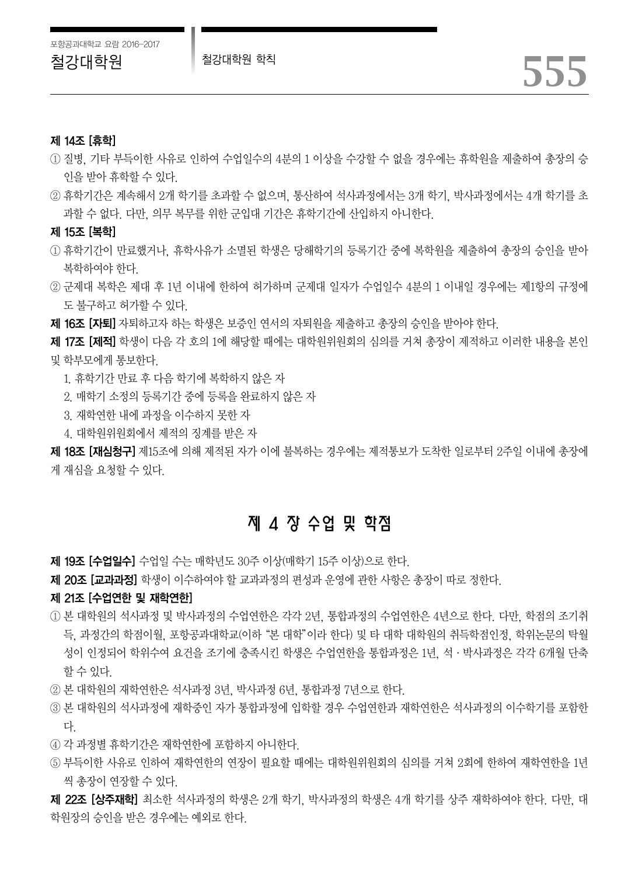#### 제 14조 [휴학]

- ① 질병, 기타 부득이한 사유로 인하여 수업일수의 4분의 1 이상을 수강할 수 없을 경우에는 휴학원을 제출하여 총장의 승 인을 받아 휴학할 수 있다.
- ② 휴학기간은 계속해서 2개 학기를 초과할 수 없으며, 통산하여 석사과정에서는 3개 학기, 박사과정에서는 4개 학기를 초 과할 수 없다. 다만, 의무 복무를 위한 군입대 기간은 휴학기간에 산입하지 아니한다.

제 15조 [복학]

- ① 휴학기간이 만료했거나, 휴학사유가 소멸된 학생은 당해학기의 등록기간 중에 복학원을 제출하여 총장의 승인을 받아 복학하여야 한다.
- ② 군제대 복학은 제대 후 1년 이내에 한하여 허가하며 군제대 일자가 수업일수 4분의 1 이내일 경우에는 제1항의 규정에 도 불구하고 허가할 수 있다.
- 제 16조 [자퇴] 자퇴하고자 하는 학생은 보증인 연서의 자퇴원을 제출하고 총장의 승인을 받아야 한다.

**제 17조 [제적]** 학생이 다음 각 호의 1에 해당할 때에는 대학원위원회의 심의를 거쳐 총장이 제적하고 이러한 내용을 본인 및 학부모에게 통보한다.

- 1. 휴학기간 만료 후 다음 학기에 복학하지 않은 자
- 2. 매학기 소정의 등록기간 중에 등록을 완료하지 않은 자
- 3. 재학연한 내에 과정을 이수하지 못한 자
- 4. 대학원위원회에서 제적의 징계를 받은 자

**제 18조 [재심청구]** 제15조에 의해 제적된 자가 이에 불복하는 경우에는 제적통보가 도착한 일로부터 2주일 이내에 총장에 게 재심을 요청할 수 있다.

# 제 4 장 수업 및 학점

- 제 19조 [수업일수] 수업일 수는 매학년도 30주 이상(매학기 15주 이상)으로 한다.
- 제 20조 [교과과정] 학생이 이수하여야 할 교과과정의 편성과 운영에 관한 사항은 총장이 따로 정한다.

#### 제 21조 [수업연한 및 재학연한]

- ① 본 대학원의 석사과정 및 박사과정의 수업연한은 각각 2년, 통합과정의 수업연한은 4년으로 한다. 다만, 학점의 조기취 득, 과정간의 학점이월, 포항공과대학교(이하"본 대학"이라 한다) 및 타 대학 대학원의 취득학점인정, 학위논문의 탁월 성이 인정되어 학위수여 요건을 조기에 충족시킨 학생은 수업연한을 통합과정은 1년, 석·박사과정은 각각 6개월 단축 할 수 있다.
- ② 본 대학원의 재학연한은 석사과정 3년, 박사과정 6년, 통합과정 7년으로 한다.
- ③ 본 대학원의 석사과정에 재학중인 자가 통합과정에 입학할 경우 수업연한과 재학연한은 석사과정의 이수학기를 포함한 다.
- ④ 각 과정별 휴학기간은 재학연한에 포함하지 아니한다.
- ⑤ 부득이한 사유로 인하여 재학연한의 연장이 필요할 때에는 대학원위원회의 심의를 거쳐 2회에 한하여 재학연한을 1년 씩 총장이 연장할 수 있다.

제 22조 [상주재학] 최소한 석사과정의 학생은 2개 학기, 박사과정의 학생은 4개 학기를 상주 재학하여야 한다. 다만, 대 학원장의 승인을 받은 경우에는 예외로 한다.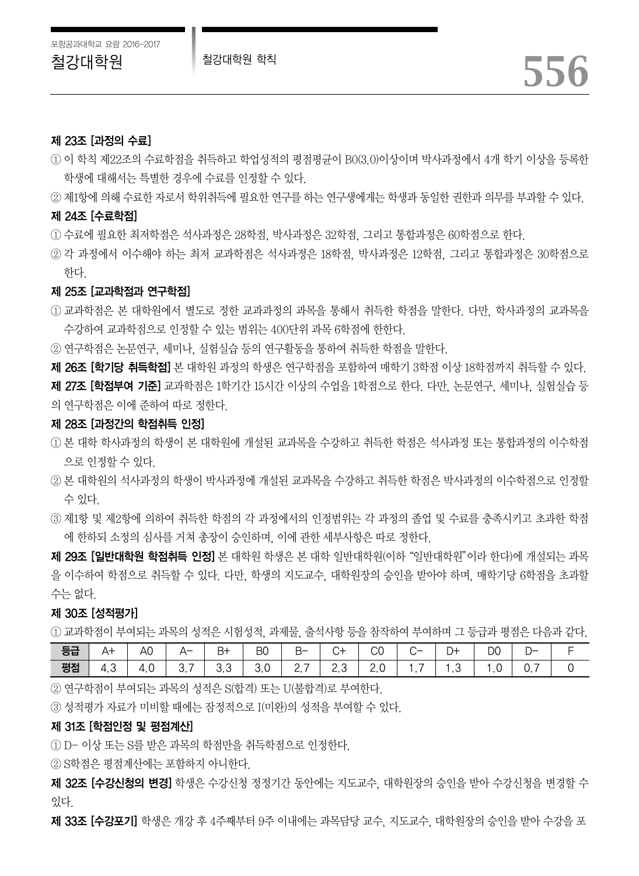#### 제 23조 [과정의 수료]

① 이 학칙 제22조의 수료학점을 취득하고 학업성적의 평점평균이 B0(3.0)이상이며 박사과정에서 4개 학기 이상을 등록한 학생에 대해서는 특별한 경우에 수료를 인정할 수 있다.

② 제1항에 의해 수료한 자로서 학위취득에 필요한 연구를 하는 연구생에게는 학생과 동일한 권한과 의무를 부과할 수 있다.

#### 제 24조 [수료학점]

- ① 수료에 필요한 최저학점은 석사과정은 28학점, 박사과정은 32학점, 그리고 통합과정은 60학점으로 한다.
- ② 각 과정에서 이수해야 하는 최저 교과학점은 석사과정은 18학점, 박사과정은 12학점, 그리고 통합과정은 30학점으로 한다.

#### 제 25조 [교과학점과 연구학점]

- ① 교과학점은 본 대학원에서 별도로 정한 교과과정의 과목을 통해서 취득한 학점을 말한다. 다만, 학사과정의 교과목을 수강하여 교과학점으로 인정할 수 있는 범위는 400단위 과목 6학점에 한한다.
- ② 연구학점은 논문연구, 세미나, 실험실습 등의 연구활동을 통하여 취득한 학점을 말한다.

**제 26조 [학기당 취득학점]** 본 대학원 과정의 학생은 연구학점을 포함하여 매학기 3학점 이상 18학점까지 취득할 수 있다.

제 27조 [학점부여 기준] 교과학점은 1학기간 15시간 이상의 수업을 1학점으로 한다. 다만, 논문연구, 세미나, 실험실습 등 의 연구학점은 이에 준하여 따로 정한다.

#### 제 28조 [과정간의 학점취득 인정]

- ① 본 대학 학사과정의 학생이 본 대학원에 개설된 교과목을 수강하고 취득한 학점은 석사과정 또는 통합과정의 이수학점 으로 인정할 수 있다.
- ② 본 대학원의 석사과정의 학생이 박사과정에 개설된 교과목을 수강하고 취득한 학점은 박사과정의 이수학점으로 인정할 수 있다.
- ③ 제1항 및 제2항에 의하여 취득한 학점의 각 과정에서의 인정범위는 각 과정의 졸업 및 수료를 충족시키고 초과한 학점 에 한하되 소정의 심사를 거쳐 총장이 승인하며, 이에 관한 세부사항은 따로 정한다.

제 29조 [일반대학원 학점취득 인정] 본 대학원 학생은 본 대학 일반대학원(이하"일반대학원"이라 한다)에 개설되는 과목 을 이수하여 학점으로 취득할 수 있다. 다만, 학생의 지도교수, 대학원장의 승인을 받아야 하며, 매학기당 6학점을 초과할 수는 없다.

#### 제 30조 [성적평가]

① 교과학점이 부여되는 과목의 성적은 시험성적, 과제물, 출석사항 등을 참작하여 부여하며 그 등급과 평점은 다음과 같다.

| 등급 | A٦  | AU.      | $\Delta$ – | $B+$ | B <sub>0</sub> | $\mathsf{H}\mathsf{=}$ | +ب  | $\sim$<br>w |                                 | D+  | D <sub>0</sub> | $\overline{\phantom{a}}$ |  |
|----|-----|----------|------------|------|----------------|------------------------|-----|-------------|---------------------------------|-----|----------------|--------------------------|--|
| 평점 | ن.4 | 4<br>+.∪ | ، ب        | ು.ು  | 3.0            | -                      | L.J | Z.U         | $\overline{\phantom{a}}$<br>. . | ں . | . ب            | -<br>ັ. ເ                |  |

② 연구학점이 부여되는 과목의 성적은 S(합격) 또는 U(불합격)로 부여한다.

③ 성적평가 자료가 미비할 때에는 잠정적으로 I(미완)의 성적을 부여할 수 있다.

#### 제 31조 [학점인정 및 평점계산]

① D- 이상 또는 S를 받은 과목의 학점만을 취득학점으로 인정한다.

② S학점은 평점계산에는 포함하지 아니한다.

제 32조 [수강신청의 변경] 학생은 수강신청 정정기간 동안에는 지도교수, 대학원장의 승인을 받아 수강신청을 변경할 수 있다.

제 33조 [수강포기] 학생은 개강 후 4주째부터 9주 이내에는 과목담당 교수, 지도교수, 대학원장의 승인을 받아 수강을 포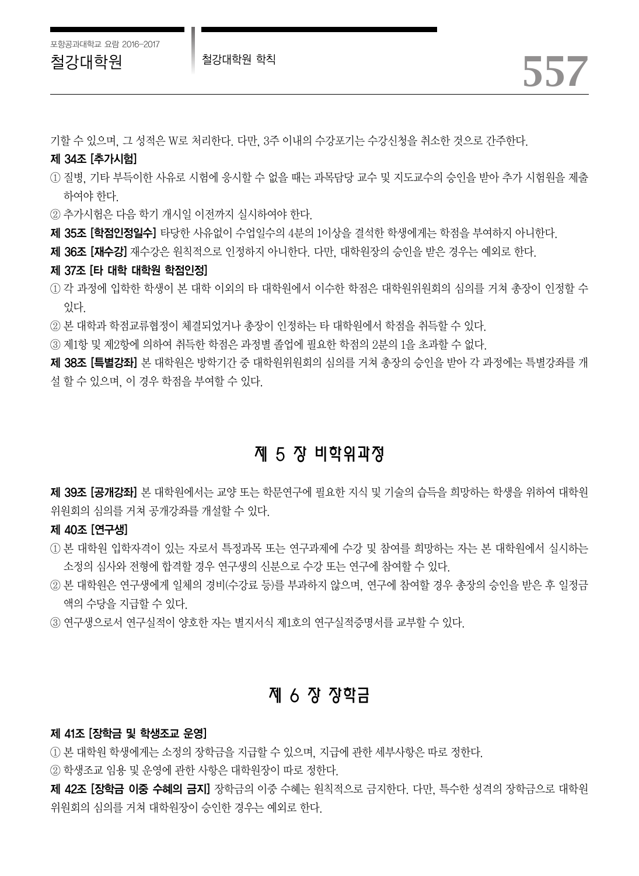철강대학원 철강대학원 학칙 *557*

제 34조 [추가시험]

- ① 질병, 기타 부득이한 사유로 시험에 응시할 수 없을 때는 과목담당 교수 및 지도교수의 승인을 받아 추가 시험원을 제출 하여야 한다.
- ② 추가시험은 다음 학기 개시일 이전까지 실시하여야 한다.
- 제 35조 [학점인정일수] 타당한 사유없이 수업일수의 4분의 1이상을 결석한 학생에게는 학점을 부여하지 아니한다.
- 제 36조 [재수강] 재수강은 원칙적으로 인정하지 아니한다. 다만, 대학원장의 승인을 받은 경우는 예외로 한다.

#### 제 37조 [타 대학 대학원 학점인정]

- ① 각 과정에 입학한 학생이 본 대학 이외의 타 대학원에서 이수한 학점은 대학원위원회의 심의를 거쳐 총장이 인정할 수 있다.
- ② 본 대학과 학점교류협정이 체결되었거나 총장이 인정하는 타 대학원에서 학점을 취득할 수 있다.
- ③ 제1항 및 제2항에 의하여 취득한 학점은 과정별 졸업에 필요한 학점의 2분의 1을 초과할 수 없다.

제 38조 [특별강좌] 본 대학원은 방학기간 중 대학원위원회의 심의를 거쳐 총장의 승인을 받아 각 과정에는 특별강좌를 개 설 할 수 있으며, 이 경우 학점을 부여할 수 있다.

# 제 5 장 비학위과정

**제 39조 [공개강좌]** 본 대학원에서는 교양 또는 학문연구에 필요한 지식 및 기술의 습득을 희망하는 학생을 위하여 대학원 위원회의 심의를 거쳐 공개강좌를 개설할 수 있다.

#### 제 40조 [연구생]

- ① 본 대학원 입학자격이 있는 자로서 특정과목 또는 연구과제에 수강 및 참여를 희망하는 자는 본 대학원에서 실시하는 소정의 심사와 전형에 합격할 경우 연구생의 신분으로 수강 또는 연구에 참여할 수 있다.
- ② 본 대학원은 연구생에게 일체의 경비(수강료 등)를 부과하지 않으며, 연구에 참여할 경우 총장의 승인을 받은 후 일정금 액의 수당을 지급할 수 있다.
- ③ 연구생으로서 연구실적이 양호한 자는 별지서식 제1호의 연구실적증명서를 교부할 수 있다.

# 제 6 장 장학금

#### 제 41조 [장학금 및 학생조교 운영]

① 본 대학원 학생에게는 소정의 장학금을 지급할 수 있으며, 지급에 관한 세부사항은 따로 정한다.

② 학생조교 임용 및 운영에 관한 사항은 대학원장이 따로 정한다.

제 42조 [장학금 이중 수혜의 금지] 장학금의 이중 수혜는 원칙적으로 금지한다. 다만, 특수한 성격의 장학금으로 대학원 위원회의 심의를 거쳐 대학원장이 승인한 경우는 예외로 한다.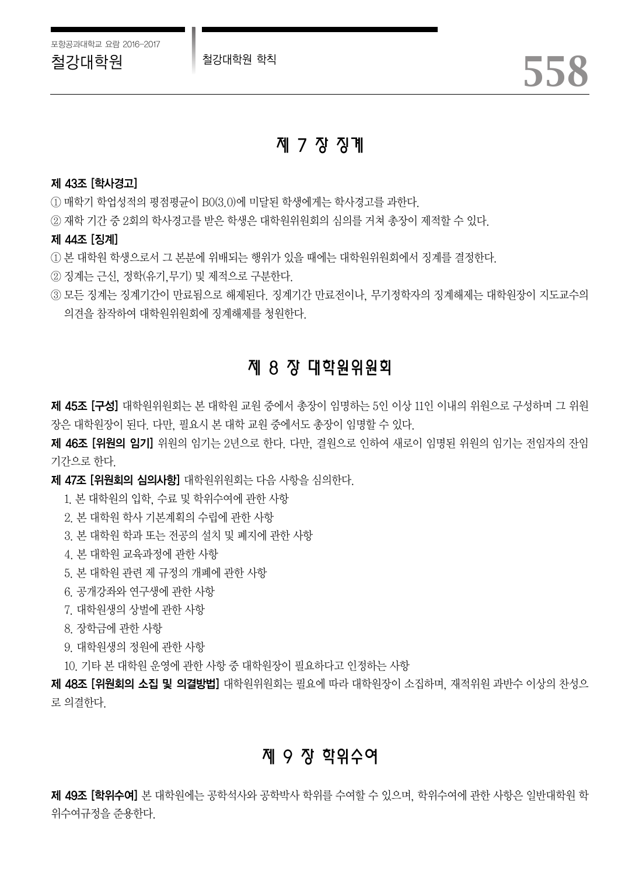# 제 7 장 징계

#### 제 43조 [학사경고]

① 매학기 학업성적의 평점평균이 B0(3.0)에 미달된 학생에게는 학사경고를 과한다.

② 재학 기간 중 2회의 학사경고를 받은 학생은 대학원위원회의 심의를 거쳐 총장이 제적할 수 있다.

#### 제 44조 [징계]

① 본 대학원 학생으로서 그 본분에 위배되는 행위가 있을 때에는 대학원위원회에서 징계를 결정한다.

② 징계는 근신, 정학(유기,무기) 및 제적으로 구분한다.

③ 모든 징계는 징계기간이 만료됨으로 해제된다. 징계기간 만료전이나, 무기정학자의 징계해제는 대학원장이 지도교수의 의견을 참작하여 대학원위원회에 징계해제를 청원한다.

# 제 8 장 대학원위원회

제 45조 [구성] 대학원위원회는 본 대학원 교원 중에서 총장이 임명하는 5인 이상 11인 이내의 위원으로 구성하며 그 위원 장은 대학원장이 된다. 다만, 필요시 본 대학 교원 중에서도 총장이 임명할 수 있다.

**제 46조 [위원의 임기]** 위원의 임기는 2년으로 한다. 다만, 결원으로 인하여 새로이 임명된 위원의 임기는 전임자의 잔임 기간으로 한다.

제 47조 [위원회의 심의사항] 대학원위원회는 다음 사항을 심의한다.

- 1. 본 대학원의 입학, 수료 및 학위수여에 관한 사항
- 2. 본 대학원 학사 기본계획의 수립에 관한 사항
- 3. 본 대학원 학과 또는 전공의 설치 및 폐지에 관한 사항
- 4. 본 대학원 교육과정에 관한 사항
- 5. 본 대학원 관련 제 규정의 개폐에 관한 사항
- 6. 공개강좌와 연구생에 관한 사항
- 7. 대학원생의 상벌에 관한 사항
- 8. 장학금에 관한 사항
- 9. 대학원생의 정원에 관한 사항
- 10. 기타 본 대학원 운영에 관한 사항 중 대학원장이 필요하다고 인정하는 사항

제 48조 [위원회의 소집 및 의결방법] 대학원위원회는 필요에 따라 대학원장이 소집하며, 재적위원 과반수 이상의 찬성으 로 의결한다.

# 제 9 장 학위수여

제 49조 [학위수여] 본 대학원에는 공학석사와 공학박사 학위를 수여할 수 있으며, 학위수여에 관한 사항은 일반대학원 학 위수여규정을 준용한다.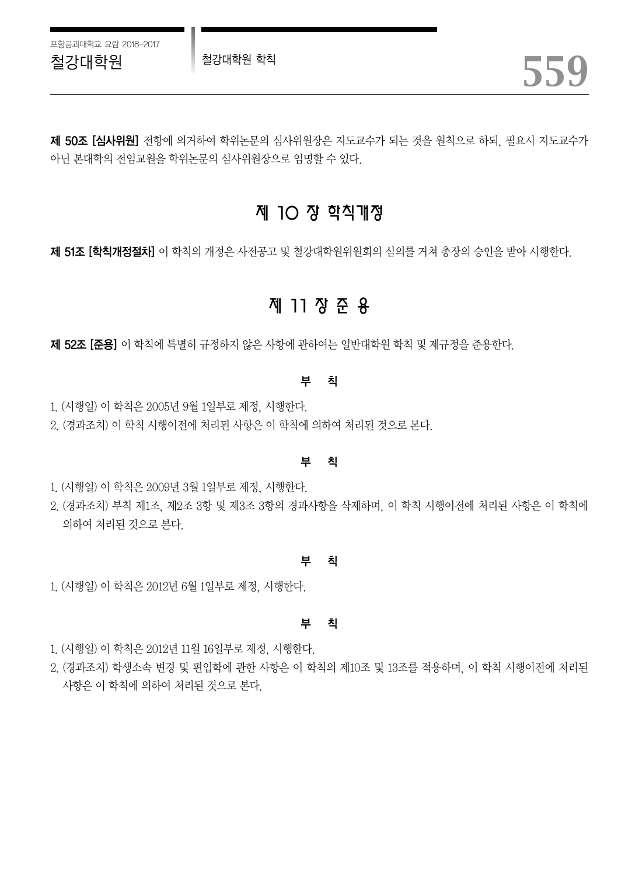제 50조 [심사위원] 전항에 의거하여 학위논문의 심사위원장은 지도교수가 되는 것을 원칙으로 하되, 필요시 지도교수가 아닌 본대학의 전임교원을 학위논문의 심사위원장으로 임명할 수 있다.

# 제 10 장 학칙개정

제 51조 [학칙개정절차] 이 학칙의 개정은 사전공고 및 철강대학원위원회의 심의를 거쳐 총장의 승인을 받아 시행한다.

# 제 11 장 준 용

제 52조 [준용] 이 학칙에 특별히 규정하지 않은 사항에 관하여는 일반대학원 학칙 및 제규정을 준용한다.

#### 부 칙

1. (시행일) 이 학칙은 2005년 9월 1일부로 제정, 시행한다.

2. (경과조치) 이 학칙 시행이전에 처리된 사항은 이 학칙에 의하여 처리된 것으로 본다.

#### 부 칙

- 1. (시행일) 이 학칙은 2009년 3월 1일부로 제정, 시행한다.
- 2. (경과조치) 부칙 제1조, 제2조 3항 및 제3조 3항의 경과사항을 삭제하며, 이 학칙 시행이전에 처리된 사항은 이 학칙에 의하여 처리된 것으로 본다.

#### 부 칙

1. (시행일) 이 학칙은 2012년 6월 1일부로 제정, 시행한다.

#### 부 칙

- 1. (시행일) 이 학칙은 2012년 11월 16일부로 제정, 시행한다.
- 2. (경과조치) 학생소속 변경 및 편입학에 관한 사항은 이 학칙의 제10조 및 13조를 적용하며, 이 학칙 시행이전에 처리된 사항은 이 학칙에 의하여 처리된 것으로 본다.